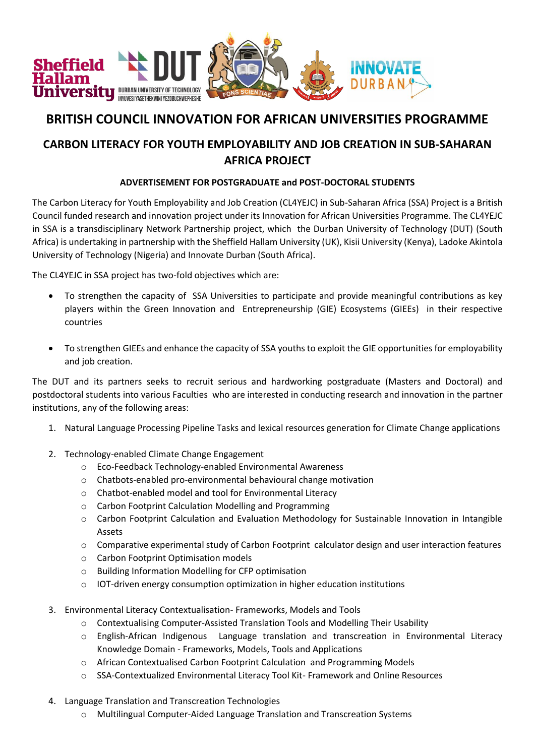

## **BRITISH COUNCIL INNOVATION FOR AFRICAN UNIVERSITIES PROGRAMME**

## **CARBON LITERACY FOR YOUTH EMPLOYABILITY AND JOB CREATION IN SUB-SAHARAN AFRICA PROJECT**

## **ADVERTISEMENT FOR POSTGRADUATE and POST-DOCTORAL STUDENTS**

The Carbon Literacy for Youth Employability and Job Creation (CL4YEJC) in Sub-Saharan Africa (SSA) Project is a British Council funded research and innovation project under its Innovation for African Universities Programme. The CL4YEJC in SSA is a transdisciplinary Network Partnership project, which the Durban University of Technology (DUT) (South Africa) is undertaking in partnership with the Sheffield Hallam University (UK), Kisii University (Kenya), Ladoke Akintola University of Technology (Nigeria) and Innovate Durban (South Africa).

The CL4YEJC in SSA project has two-fold objectives which are:

- To strengthen the capacity of SSA Universities to participate and provide meaningful contributions as key players within the Green Innovation and Entrepreneurship (GIE) Ecosystems (GIEEs) in their respective countries
- To strengthen GIEEs and enhance the capacity of SSA youths to exploit the GIE opportunities for employability and job creation.

The DUT and its partners seeks to recruit serious and hardworking postgraduate (Masters and Doctoral) and postdoctoral students into various Faculties who are interested in conducting research and innovation in the partner institutions, any of the following areas:

- 1. Natural Language Processing Pipeline Tasks and lexical resources generation for Climate Change applications
- 2. Technology-enabled Climate Change Engagement
	- o Eco-Feedback Technology-enabled Environmental Awareness
	- o Chatbots-enabled pro-environmental behavioural change motivation
	- o Chatbot-enabled model and tool for Environmental Literacy
	- o Carbon Footprint Calculation Modelling and Programming
	- o Carbon Footprint Calculation and Evaluation Methodology for Sustainable Innovation in Intangible Assets
	- $\circ$  Comparative experimental study of Carbon Footprint calculator design and user interaction features
	- o Carbon Footprint Optimisation models
	- o Building Information Modelling for CFP optimisation
	- o IOT-driven energy consumption optimization in higher education institutions
- 3. Environmental Literacy Contextualisation- Frameworks, Models and Tools
	- o Contextualising Computer-Assisted Translation Tools and Modelling Their Usability
	- o English-African Indigenous Language translation and transcreation in Environmental Literacy Knowledge Domain - Frameworks, Models, Tools and Applications
	- o African Contextualised Carbon Footprint Calculation and Programming Models
	- o SSA-Contextualized Environmental Literacy Tool Kit- Framework and Online Resources
- 4. Language Translation and Transcreation Technologies
	- o Multilingual Computer-Aided Language Translation and Transcreation Systems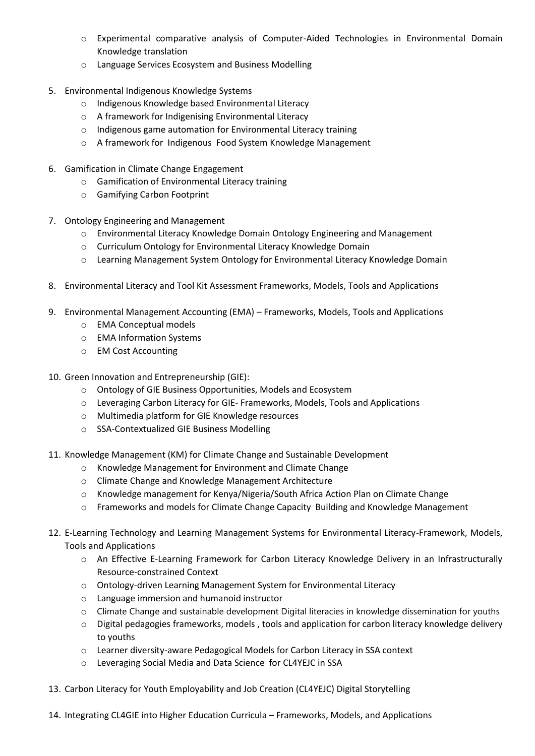- o Experimental comparative analysis of Computer-Aided Technologies in Environmental Domain Knowledge translation
- o Language Services Ecosystem and Business Modelling
- 5. Environmental Indigenous Knowledge Systems
	- o Indigenous Knowledge based Environmental Literacy
	- o A framework for Indigenising Environmental Literacy
	- o Indigenous game automation for Environmental Literacy training
	- o A framework for Indigenous Food System Knowledge Management
- 6. Gamification in Climate Change Engagement
	- o Gamification of Environmental Literacy training
	- o Gamifying Carbon Footprint
- 7. Ontology Engineering and Management
	- $\circ$  Environmental Literacy Knowledge Domain Ontology Engineering and Management
	- o Curriculum Ontology for Environmental Literacy Knowledge Domain
	- o Learning Management System Ontology for Environmental Literacy Knowledge Domain
- 8. Environmental Literacy and Tool Kit Assessment Frameworks, Models, Tools and Applications
- 9. Environmental Management Accounting (EMA) Frameworks, Models, Tools and Applications
	- o EMA Conceptual models
	- o EMA Information Systems
	- o EM Cost Accounting
- 10. Green Innovation and Entrepreneurship (GIE):
	- o Ontology of GIE Business Opportunities, Models and Ecosystem
	- o Leveraging Carbon Literacy for GIE- Frameworks, Models, Tools and Applications
	- o Multimedia platform for GIE Knowledge resources
	- o SSA-Contextualized GIE Business Modelling
- 11. Knowledge Management (KM) for Climate Change and Sustainable Development
	- o Knowledge Management for Environment and Climate Change
	- o Climate Change and Knowledge Management Architecture
	- $\circ$  Knowledge management for Kenya/Nigeria/South Africa Action Plan on Climate Change
	- o Frameworks and models for Climate Change Capacity Building and Knowledge Management
- 12. E-Learning Technology and Learning Management Systems for Environmental Literacy-Framework, Models, Tools and Applications
	- o An Effective E-Learning Framework for Carbon Literacy Knowledge Delivery in an Infrastructurally Resource-constrained Context
	- o Ontology-driven Learning Management System for Environmental Literacy
	- o Language immersion and humanoid instructor
	- o Climate Change and sustainable development Digital literacies in knowledge dissemination for youths
	- $\circ$  Digital pedagogies frameworks, models, tools and application for carbon literacy knowledge delivery to youths
	- o Learner diversity-aware Pedagogical Models for Carbon Literacy in SSA context
	- o Leveraging Social Media and Data Science for CL4YEJC in SSA
- 13. Carbon Literacy for Youth Employability and Job Creation (CL4YEJC) Digital Storytelling
- 14. Integrating CL4GIE into Higher Education Curricula Frameworks, Models, and Applications